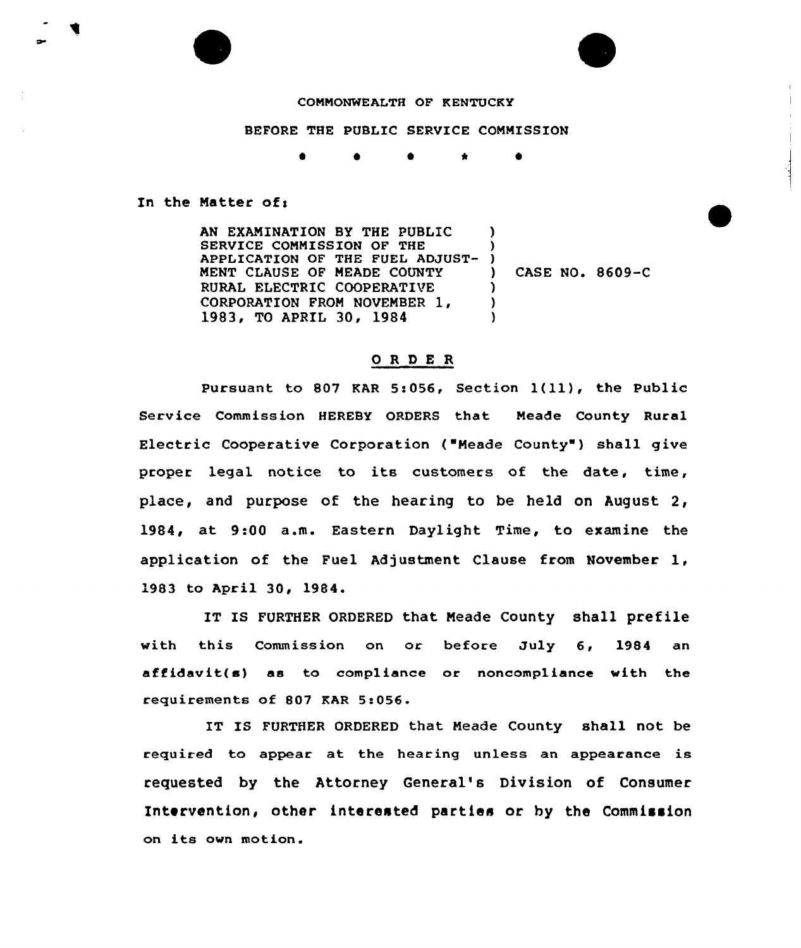## COMMONWEALTH OF KENTUCKY

## BEFORE THE PUBLIC SERVICE COMMISSION

\*

In the Matter of:

AN EXANINATION BY THE PUBLIC SERVICE COMMISSION OF THE APPLICATION OF THE FUEL ADJUST-NENT CLAUSE OF NEADE COUNTY RURAL ELECTRIC COOPERATIVE CORPORATION FROM NOVENBER 1, 1983, TO APRIL 30, 1984 ) ) ) ) ) )

) CASE NO. 8609-C

## OR DE R

Pursuant to 807 KAR 5:056, Section  $1(11)$ , the Public Service Commission HEREBY ORDERS that Neade County Rural Electric Cooperative Corporation ("Neade County" ) shall give proper legal notice to its customers of the date, time, place, and purpose of the hearing to be held on August 2, 1984, at 9:00 a.m. Eastern Daylight Time, to examine the application of the Fuel Adjustment Clause from November 1, 1983 to April 30, 1984.

IT IS FURTHER ORDERED that Meade County shall prefile with this Commission on or before July 6, 1984 an affidavit(s) as to compliance or noncompliance with the requirements of 807 KAR 5:056.

IT IS FURTHER ORDERED that Meade County shall not be required to appear at the hearing unless an appearance is requested by the Attorney General's Division of Consumer Intervention, other interested parties or hy the Commission on its own motion.